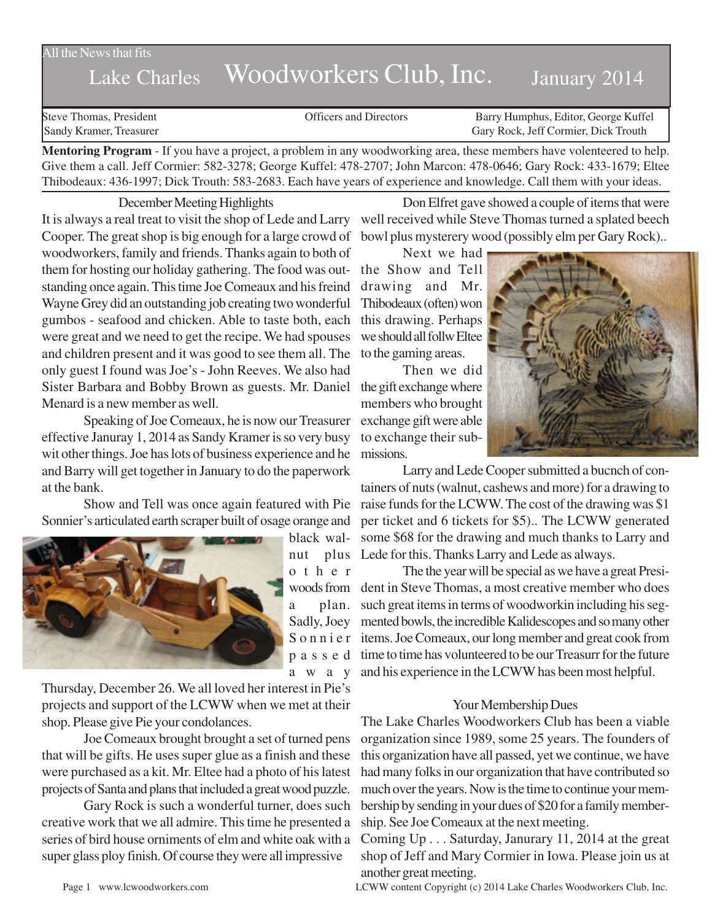## All the News that fits

# Lake Charles Woodworkers Club, Inc. January 2014

Steve Thomas, President **State Concrete Concrete Concrete Concrete Concrete Concrete Concrete Concrete Concrete Concrete Concrete Concrete Concrete Concrete Concrete Concrete Concrete Concrete Concrete Concrete Concrete Co** Sandy Kramer, Treasurer Gary Rock, Jeff Cormier, Dick Trouth

**Mentoring Program** - If you have a project, a problem in any woodworking area, these members have volenteered to help. Give them a call. Jeff Cormier: 582-3278; George Kuffel: 478-2707; John Marcon: 478-0646; Gary Rock: 433-1679; Eltee Thibodeaux: 436-1997; Dick Trouth: 583-2683. Each have years of experience and knowledge. Call them with your ideas.

#### December Meeting Highlights

It is always a real treat to visit the shop of Lede and Larry well received while Steve Thomas turned a splated beech Cooper. The great shop is big enough for a large crowd of bowl plus mysterery wood (possibly elm per Gary Rock).. woodworkers, family and friends. Thanks again to both of them for hosting our holiday gathering. The food was out-the Show and Tell standing once again. This time Joe Comeaux and his freind Wayne Grey did an outstanding job creating two wonderful gumbos - seafood and chicken. Able to taste both, each were great and we need to get the recipe. We had spouses and children present and it was good to see them all. The only guest I found was Joe's - John Reeves. We also had Sister Barbara and Bobby Brown as guests. Mr. Daniel the gift exchange where Menard is a new member as well.

Speaking of Joe Comeaux, he is now our Treasurer effective Januray 1, 2014 as Sandy Kramer is so very busy wit other things. Joe has lots of business experience and he and Barry will get together in January to do the paperwork at the bank.

Show and Tell was once again featured with Pie Sonnier's articulated earth scraper built of osage orange and



black walother a plan. away

Thursday, December 26. We all loved her interest in Pie's projects and support of the LCWW when we met at their shop. Please give Pie your condolances.

Joe Comeaux brought brought a set of turned pens that will be gifts. He uses super glue as a finish and these were purchased as a kit. Mr. Eltee had a photo of his latest projects of Santa and plans that included a great wood puzzle.

Gary Rock is such a wonderful turner, does such creative work that we all admire. This time he presented a series of bird house orniments of elm and white oak with a super glass ploy finish. Of course they were all impressive

Don Elfret gave showed a couple of items that were

Next we had drawing and Mr. Thibodeaux (often) won this drawing. Perhaps we should all follw Eltee to the gaming areas.

Then we did members who brought exchange gift were able to exchange their submissions.



nut plus Lede for this. Thanks Larry and Lede as always. Larry and Lede Cooper submitted a bucnch of containers of nuts (walnut, cashews and more) for a drawing to raise funds for the LCWW. The cost of the drawing was \$1 per ticket and 6 tickets for \$5).. The LCWW generated some \$68 for the drawing and much thanks to Larry and

woods from dent in Steve Thomas, a most creative member who does Sadly, Joey mented bowls, the incredible Kalidescopes and so many other S o n n i e r items. Joe Comeaux, our long member and great cook from p a s s e d time to time has volunteered to be our Treasurr for the future The the year will be special as we have a great Presisuch great items in terms of woodworkin including his segand his experience in the LCWW has been most helpful.

#### Your Membership Dues

The Lake Charles Woodworkers Club has been a viable organization since 1989, some 25 years. The founders of this organization have all passed, yet we continue, we have had many folks in our organization that have contributed so much over the years. Now is the time to continue your membership by sending in your dues of \$20 for a family membership. See Joe Comeaux at the next meeting.

Coming Up . . . Saturday, Janurary 11, 2014 at the great shop of Jeff and Mary Cormier in Iowa. Please join us at another great meeting.

Page 1 www.lcwoodworkers.com LCWW content Copyright (c) 2014 Lake Charles Woodworkers Club, Inc.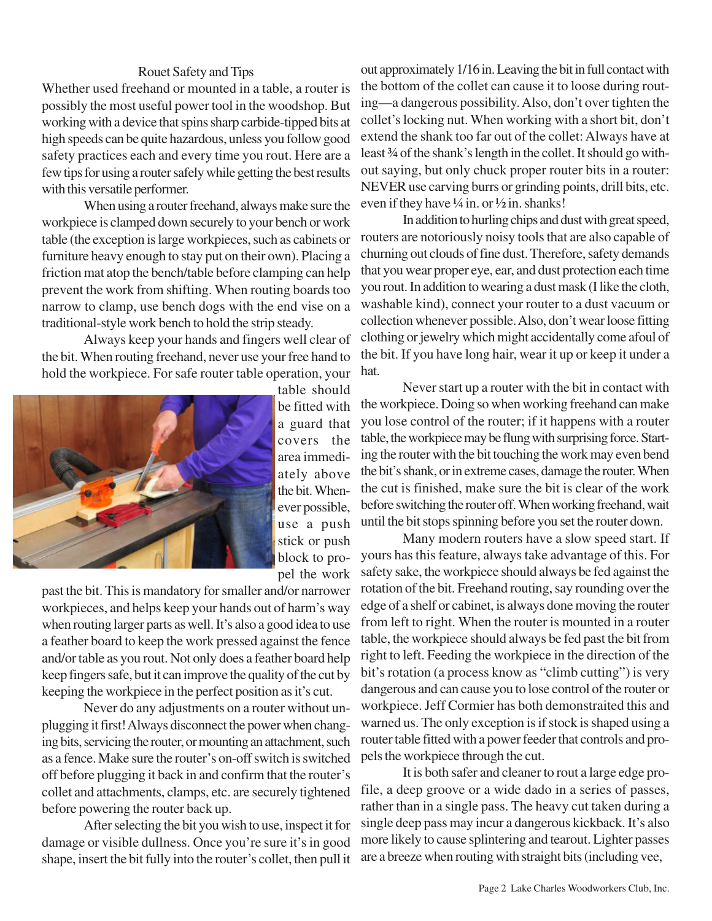## Rouet Safety and Tips

Whether used freehand or mounted in a table, a router is possibly the most useful power tool in the woodshop. But working with a device that spins sharp carbide-tipped bits at high speeds can be quite hazardous, unless you follow good safety practices each and every time you rout. Here are a few tips for using a router safely while getting the best results with this versatile performer.

When using a router freehand, always make sure the workpiece is clamped down securely to your bench or work table (the exception is large workpieces, such as cabinets or furniture heavy enough to stay put on their own). Placing a friction mat atop the bench/table before clamping can help prevent the work from shifting. When routing boards too narrow to clamp, use bench dogs with the end vise on a traditional-style work bench to hold the strip steady.

Always keep your hands and fingers well clear of the bit. When routing freehand, never use your free hand to hold the workpiece. For safe router table operation, your



table should be fitted with a guard that covers the area immediately above the bit. Whenever possible, use a push stick or push block to propel the work

past the bit. This is mandatory for smaller and/or narrower workpieces, and helps keep your hands out of harm's way when routing larger parts as well. It's also a good idea to use a feather board to keep the work pressed against the fence and/or table as you rout. Not only does a feather board help keep fingers safe, but it can improve the quality of the cut by keeping the workpiece in the perfect position as it's cut.

Never do any adjustments on a router without unplugging it first! Always disconnect the power when changing bits, servicing the router, or mounting an attachment, such as a fence. Make sure the router's on-off switch is switched off before plugging it back in and confirm that the router's collet and attachments, clamps, etc. are securely tightened before powering the router back up.

After selecting the bit you wish to use, inspect it for damage or visible dullness. Once you're sure it's in good shape, insert the bit fully into the router's collet, then pull it out approximately 1/16 in. Leaving the bit in full contact with the bottom of the collet can cause it to loose during routing—a dangerous possibility. Also, don't over tighten the collet's locking nut. When working with a short bit, don't extend the shank too far out of the collet: Always have at least ¾ of the shank's length in the collet. It should go without saying, but only chuck proper router bits in a router: NEVER use carving burrs or grinding points, drill bits, etc. even if they have  $\frac{1}{4}$  in. or  $\frac{1}{2}$  in. shanks!

In addition to hurling chips and dust with great speed, routers are notoriously noisy tools that are also capable of churning out clouds of fine dust. Therefore, safety demands that you wear proper eye, ear, and dust protection each time you rout. In addition to wearing a dust mask (I like the cloth, washable kind), connect your router to a dust vacuum or collection whenever possible. Also, don't wear loose fitting clothing or jewelry which might accidentally come afoul of the bit. If you have long hair, wear it up or keep it under a hat.

Never start up a router with the bit in contact with the workpiece. Doing so when working freehand can make you lose control of the router; if it happens with a router table, the workpiece may be flung with surprising force. Starting the router with the bit touching the work may even bend the bit's shank, or in extreme cases, damage the router. When the cut is finished, make sure the bit is clear of the work before switching the router off. When working freehand, wait until the bit stops spinning before you set the router down.

Many modern routers have a slow speed start. If yours has this feature, always take advantage of this. For safety sake, the workpiece should always be fed against the rotation of the bit. Freehand routing, say rounding over the edge of a shelf or cabinet, is always done moving the router from left to right. When the router is mounted in a router table, the workpiece should always be fed past the bit from right to left. Feeding the workpiece in the direction of the bit's rotation (a process know as "climb cutting") is very dangerous and can cause you to lose control of the router or workpiece. Jeff Cormier has both demonstraited this and warned us. The only exception is if stock is shaped using a router table fitted with a power feeder that controls and propels the workpiece through the cut.

It is both safer and cleaner to rout a large edge profile, a deep groove or a wide dado in a series of passes, rather than in a single pass. The heavy cut taken during a single deep pass may incur a dangerous kickback. It's also more likely to cause splintering and tearout. Lighter passes are a breeze when routing with straight bits (including vee,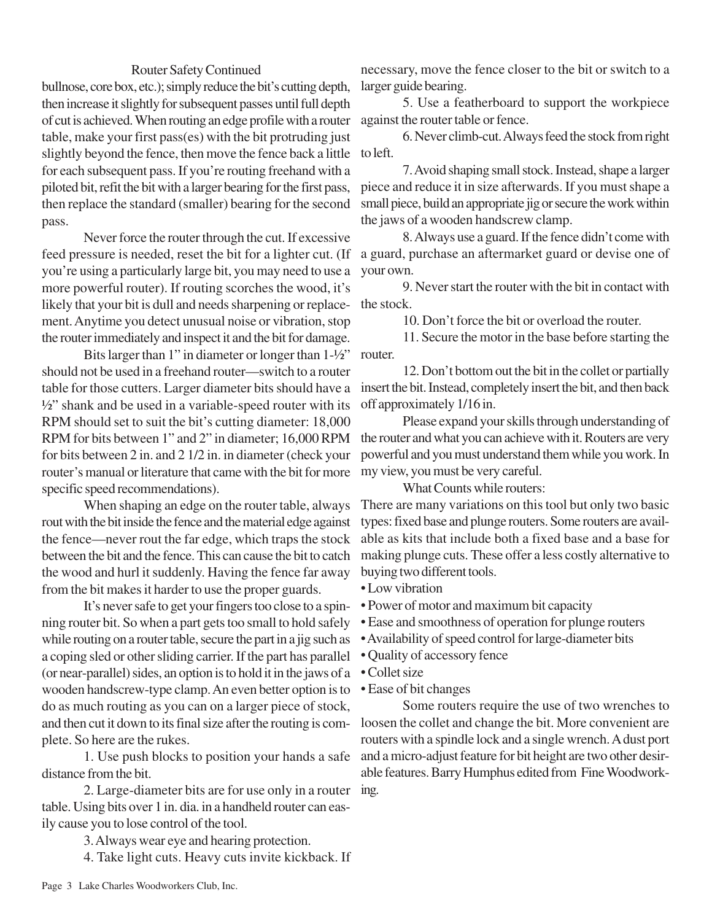### Router Safety Continued

bullnose, core box, etc.); simply reduce the bit's cutting depth, then increase it slightly for subsequent passes until full depth of cut is achieved. When routing an edge profile with a router table, make your first pass(es) with the bit protruding just slightly beyond the fence, then move the fence back a little to left. for each subsequent pass. If you're routing freehand with a piloted bit, refit the bit with a larger bearing for the first pass, then replace the standard (smaller) bearing for the second pass.

Never force the router through the cut. If excessive feed pressure is needed, reset the bit for a lighter cut. (If you're using a particularly large bit, you may need to use a more powerful router). If routing scorches the wood, it's likely that your bit is dull and needs sharpening or replacement. Anytime you detect unusual noise or vibration, stop the router immediately and inspect it and the bit for damage.

Bits larger than 1" in diameter or longer than 1-½" should not be used in a freehand router—switch to a router table for those cutters. Larger diameter bits should have a  $\frac{1}{2}$ " shank and be used in a variable-speed router with its RPM should set to suit the bit's cutting diameter: 18,000 RPM for bits between 1" and 2" in diameter; 16,000 RPM for bits between 2 in. and 2 1/2 in. in diameter (check your router's manual or literature that came with the bit for more specific speed recommendations).

When shaping an edge on the router table, always rout with the bit inside the fence and the material edge against the fence—never rout the far edge, which traps the stock between the bit and the fence. This can cause the bit to catch the wood and hurl it suddenly. Having the fence far away from the bit makes it harder to use the proper guards.

It's never safe to get your fingers too close to a spinning router bit. So when a part gets too small to hold safely while routing on a router table, secure the part in a jig such as a coping sled or other sliding carrier. If the part has parallel (or near-parallel) sides, an option is to hold it in the jaws of a wooden handscrew-type clamp. An even better option is to do as much routing as you can on a larger piece of stock, and then cut it down to its final size after the routing is complete. So here are the rukes.

1. Use push blocks to position your hands a safe distance from the bit.

2. Large-diameter bits are for use only in a router table. Using bits over 1 in. dia. in a handheld router can easily cause you to lose control of the tool.

> 3. Always wear eye and hearing protection. 4. Take light cuts. Heavy cuts invite kickback. If

necessary, move the fence closer to the bit or switch to a larger guide bearing.

5. Use a featherboard to support the workpiece against the router table or fence.

6. Never climb-cut. Always feed the stock from right

7. Avoid shaping small stock. Instead, shape a larger piece and reduce it in size afterwards. If you must shape a small piece, build an appropriate jig or secure the work within the jaws of a wooden handscrew clamp.

8. Always use a guard. If the fence didn't come with a guard, purchase an aftermarket guard or devise one of your own.

9. Never start the router with the bit in contact with the stock.

10. Don't force the bit or overload the router.

11. Secure the motor in the base before starting the router.

12. Don't bottom out the bit in the collet or partially insert the bit. Instead, completely insert the bit, and then back off approximately 1/16 in.

Please expand your skills through understanding of the router and what you can achieve with it. Routers are very powerful and you must understand them while you work. In my view, you must be very careful.

What Counts while routers:

There are many variations on this tool but only two basic types: fixed base and plunge routers. Some routers are available as kits that include both a fixed base and a base for making plunge cuts. These offer a less costly alternative to buying two different tools.

- Low vibration
- Power of motor and maximum bit capacity
- Ease and smoothness of operation for plunge routers
- Availability of speed control for large-diameter bits
- Quality of accessory fence
- Collet size
- Ease of bit changes

Some routers require the use of two wrenches to loosen the collet and change the bit. More convenient are routers with a spindle lock and a single wrench. A dust port and a micro-adjust feature for bit height are two other desirable features. Barry Humphus edited from Fine Woodworking.